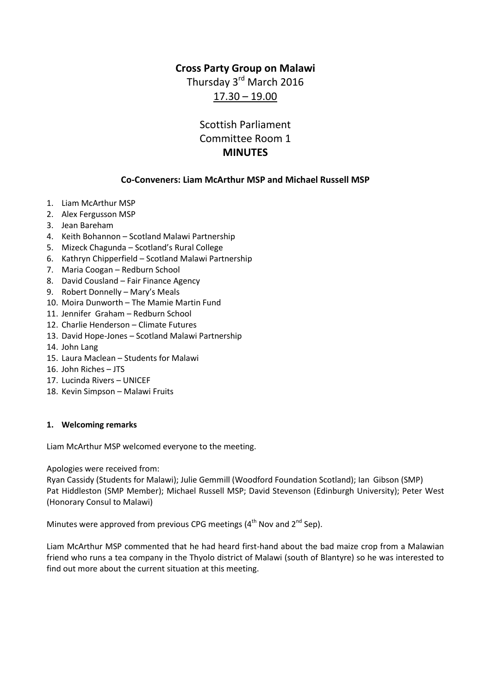## **Cross Party Group on Malawi**

Thursday 3<sup>rd</sup> March 2016 17.30 – 19.00

# Scottish Parliament Committee Room 1 **MINUTES**

## **Co-Conveners: Liam McArthur MSP and Michael Russell MSP**

- 1. Liam McArthur MSP
- 2. Alex Fergusson MSP
- 3. Jean Bareham
- 4. Keith Bohannon Scotland Malawi Partnership
- 5. Mizeck Chagunda Scotland's Rural College
- 6. Kathryn Chipperfield Scotland Malawi Partnership
- 7. Maria Coogan Redburn School
- 8. David Cousland Fair Finance Agency
- 9. Robert Donnelly Mary's Meals
- 10. Moira Dunworth The Mamie Martin Fund
- 11. Jennifer Graham Redburn School
- 12. Charlie Henderson Climate Futures
- 13. David Hope-Jones Scotland Malawi Partnership
- 14. John Lang
- 15. Laura Maclean Students for Malawi
- 16. John Riches JTS
- 17. Lucinda Rivers UNICEF
- 18. Kevin Simpson Malawi Fruits

#### **1. Welcoming remarks**

Liam McArthur MSP welcomed everyone to the meeting.

Apologies were received from:

Ryan Cassidy (Students for Malawi); Julie Gemmill (Woodford Foundation Scotland); Ian Gibson (SMP) Pat Hiddleston (SMP Member); Michael Russell MSP; David Stevenson (Edinburgh University); Peter West (Honorary Consul to Malawi)

Minutes were approved from previous CPG meetings  $(4<sup>th</sup>$  Nov and  $2<sup>nd</sup>$  Sep).

Liam McArthur MSP commented that he had heard first-hand about the bad maize crop from a Malawian friend who runs a tea company in the Thyolo district of Malawi (south of Blantyre) so he was interested to find out more about the current situation at this meeting.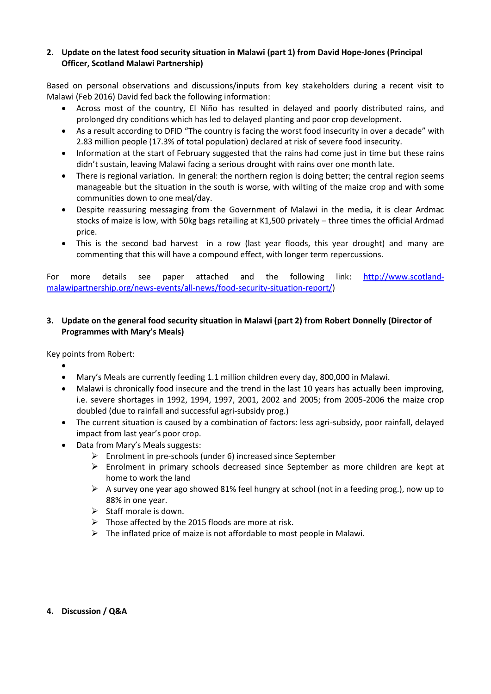#### **2. Update on the latest food security situation in Malawi (part 1) from David Hope-Jones (Principal Officer, Scotland Malawi Partnership)**

Based on personal observations and discussions/inputs from key stakeholders during a recent visit to Malawi (Feb 2016) David fed back the following information:

- Across most of the country, El Niño has resulted in delayed and poorly distributed rains, and prolonged dry conditions which has led to delayed planting and poor crop development.
- As a result according to DFID "The country is facing the worst food insecurity in over a decade" with 2.83 million people (17.3% of total population) declared at risk of severe food insecurity.
- Information at the start of February suggested that the rains had come just in time but these rains didn't sustain, leaving Malawi facing a serious drought with rains over one month late.
- There is regional variation. In general: the northern region is doing better; the central region seems manageable but the situation in the south is worse, with wilting of the maize crop and with some communities down to one meal/day.
- Despite reassuring messaging from the Government of Malawi in the media, it is clear Ardmac stocks of maize is low, with 50kg bags retailing at K1,500 privately – three times the official Ardmad price.
- This is the second bad harvest in a row (last year floods, this year drought) and many are commenting that this will have a compound effect, with longer term repercussions.

For more details see paper attached and the following link: [http://www.scotland](http://www.scotland-malawipartnership.org/news-events/all-news/food-security-situation-report/)[malawipartnership.org/news-events/all-news/food-security-situation-report/\)](http://www.scotland-malawipartnership.org/news-events/all-news/food-security-situation-report/)

### **3. Update on the general food security situation in Malawi (part 2) from Robert Donnelly (Director of Programmes with Mary's Meals)**

Key points from Robert:

- $\bullet$
- Mary's Meals are currently feeding 1.1 million children every day, 800,000 in Malawi.
- Malawi is chronically food insecure and the trend in the last 10 years has actually been improving, i.e. severe shortages in 1992, 1994, 1997, 2001, 2002 and 2005; from 2005-2006 the maize crop doubled (due to rainfall and successful agri-subsidy prog.)
- The current situation is caused by a combination of factors: less agri-subsidy, poor rainfall, delayed impact from last year's poor crop.
- Data from Mary's Meals suggests:
	- $\triangleright$  Enrolment in pre-schools (under 6) increased since September
	- $\triangleright$  Enrolment in primary schools decreased since September as more children are kept at home to work the land
	- $\triangleright$  A survey one year ago showed 81% feel hungry at school (not in a feeding prog.), now up to 88% in one year.
	- $\triangleright$  Staff morale is down.
	- $\triangleright$  Those affected by the 2015 floods are more at risk.
	- $\triangleright$  The inflated price of maize is not affordable to most people in Malawi.

#### **4. Discussion / Q&A**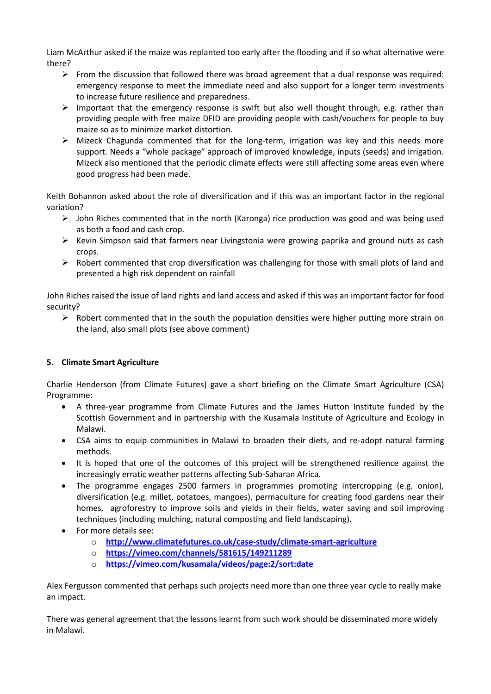Liam McArthur asked if the maize was replanted too early after the flooding and if so what alternative were there?

- $\triangleright$  From the discussion that followed there was broad agreement that a dual response was required: emergency response to meet the immediate need and also support for a longer term investments to increase future resilience and preparedness.
- $\triangleright$  Important that the emergency response is swift but also well thought through, e.g. rather than providing people with free maize DFID are providing people with cash/vouchers for people to buy maize so as to minimize market distortion.
- $\triangleright$  Mizeck Chagunda commented that for the long-term, irrigation was key and this needs more support. Needs a "whole package" approach of improved knowledge, inputs (seeds) and irrigation. Mizeck also mentioned that the periodic climate effects were still affecting some areas even where good progress had been made.

Keith Bohannon asked about the role of diversification and if this was an important factor in the regional variation?

- $\triangleright$  John Riches commented that in the north (Karonga) rice production was good and was being used as both a food and cash crop.
- $\triangleright$  Kevin Simpson said that farmers near Livingstonia were growing paprika and ground nuts as cash crops.
- $\triangleright$  Robert commented that crop diversification was challenging for those with small plots of land and presented a high risk dependent on rainfall

John Riches raised the issue of land rights and land access and asked if this was an important factor for food security?

 $\triangleright$  Robert commented that in the south the population densities were higher putting more strain on the land, also small plots (see above comment)

## **5. Climate Smart Agriculture**

Charlie Henderson (from Climate Futures) gave a short briefing on the Climate Smart Agriculture (CSA) Programme:

- A three-year programme from Climate Futures and the James Hutton Institute funded by the Scottish Government and in partnership with the Kusamala Institute of Agriculture and Ecology in Malawi.
- CSA aims to equip communities in Malawi to broaden their diets, and re-adopt natural farming methods.
- It is hoped that one of the outcomes of this project will be strengthened resilience against the increasingly erratic weather patterns affecting Sub-Saharan Africa.
- The programme engages 2500 farmers in programmes promoting intercropping (e.g. onion), diversification (e.g. millet, potatoes, mangoes), permaculture for creating food gardens near their homes, agroforestry to improve soils and yields in their fields, water saving and soil improving techniques (including mulching, natural composting and field landscaping).
- For more details see:
	- o **<http://www.climatefutures.co.uk/case-study/climate-smart-agriculture>**
	- o **<https://vimeo.com/channels/581615/149211289>**
	- o **<https://vimeo.com/kusamala/videos/page:2/sort:date>**

Alex Fergusson commented that perhaps such projects need more than one three year cycle to really make an impact.

There was general agreement that the lessons learnt from such work should be disseminated more widely in Malawi.